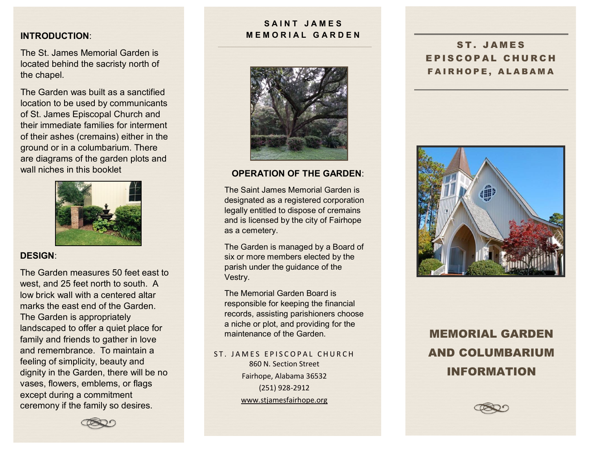## **INTRODUCTION**:

The St. James Memorial Garden is located behind the sacristy north of the chapel.

The Garden was built as a sanctified location to be used by communicants of St. James Episcopal Church and their immediate families for interment of their ashes (cremains) either in the ground or in a columbarium. There are diagrams of the garden plots and wall niches in this booklet



## **DESIGN**:

The Garden measures 50 feet east to west, and 25 feet north to south. A low brick wall with a centered altar marks the east end of the Garden. The Garden is appropriately landscaped to offer a quiet place for family and friends to gather in love and remembrance. To maintain a feeling of simplicity, beauty and dignity in the Garden, there will be no vases, flowers, emblems, or flags except during a commitment ceremony if the family so desires.

## **SAINT JAMES MEMORIAL GARDEN**



## **OPERATION OF THE GARDEN**:

The Saint James Memorial Garden is designated as a registered corporation legally entitled to dispose of cremains and is licensed by the city of Fairhope as a cemetery.

The Garden is managed by a Board of six or more members elected by the parish under the guidance of the Vestry.

The Memorial Garden Board is responsible for keeping the financial records, assisting parishioners choose a niche or plot, and providing for the maintenance of the Garden.

ST. JAMES EPISCOPAL CHURCH 860 N. Section Street Fairhope, Alabama 36532 (251) 928-2912 [www.stjamesfairhope.org](http://www.stjamesfairhope.org/)

ST. JAMES EPISCOPAL CHURCH FAIRHOPE, ALABAMA



MEMORIAL GARDEN AND COLUMBARIUM INFORMATION